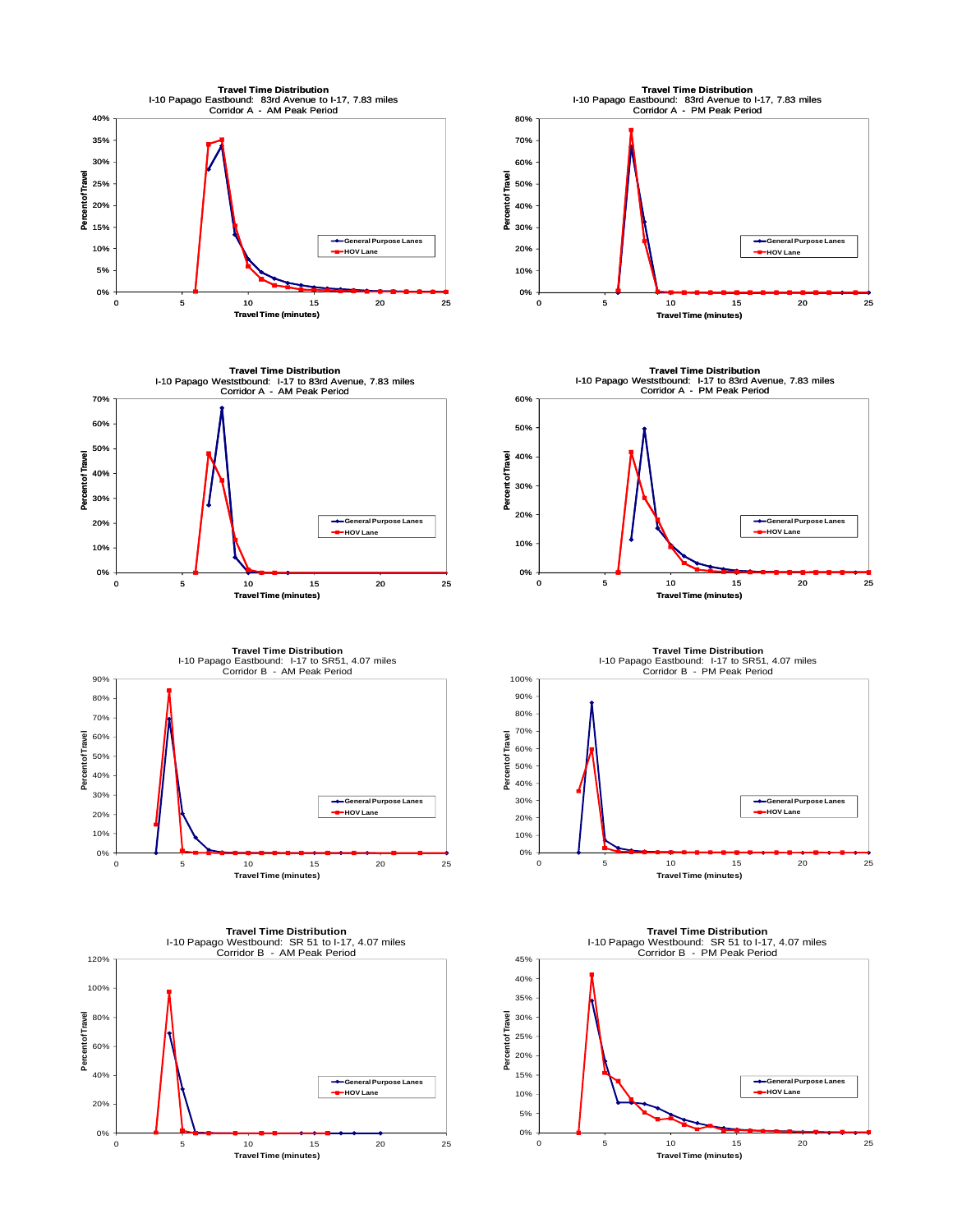

0% 5% 10%

**General Purpose Lanes HOV Lane**

0 5 10 15 20 25

**Travel Time (minutes)**

0% 20%

0 5 10 15 20 25 **Travel Time (minutes) HOV Lane**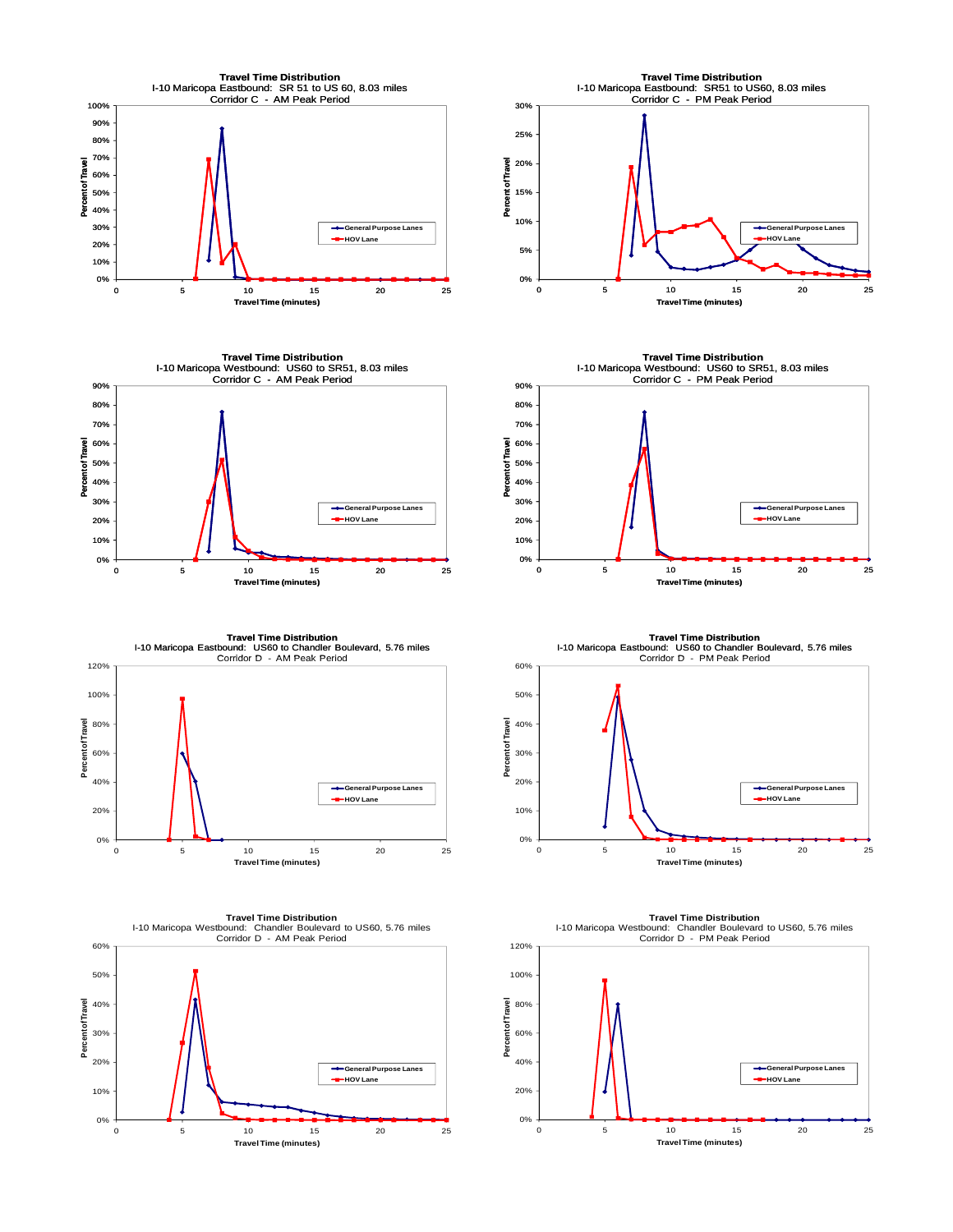





0% 10% 20% 30% 40% 50% 60% 0 5 10 15 20 25 **Percent of Travel Travel Time (minutes) Travel Time Distribution** I-10 Maricopa Westbound: Chandler Boulevard to US60, 5.76 miles Corridor D - AM Peak Period **General Purpose Lanes HOV Lane**



**Travel Time Distribution<br>I-10 Maricopa Westbound: US60 to SR51, 8.03 miles<br>Corridor C - PM Peak Period** 90% 80% 70% 60% **Percent of Travel** Percent of Travel 50% 40% 30% **General Purpose Lanes HOV Lane** 20% 10% 0% 0 5 10 15 20 25 **Travel Time (minutes)**

**Travel Time Distribution** I-10 Maricopa Eastbound: US60 to Chandler Boulevard, 5.76 miles<br>Corridor D - PM Peak Period



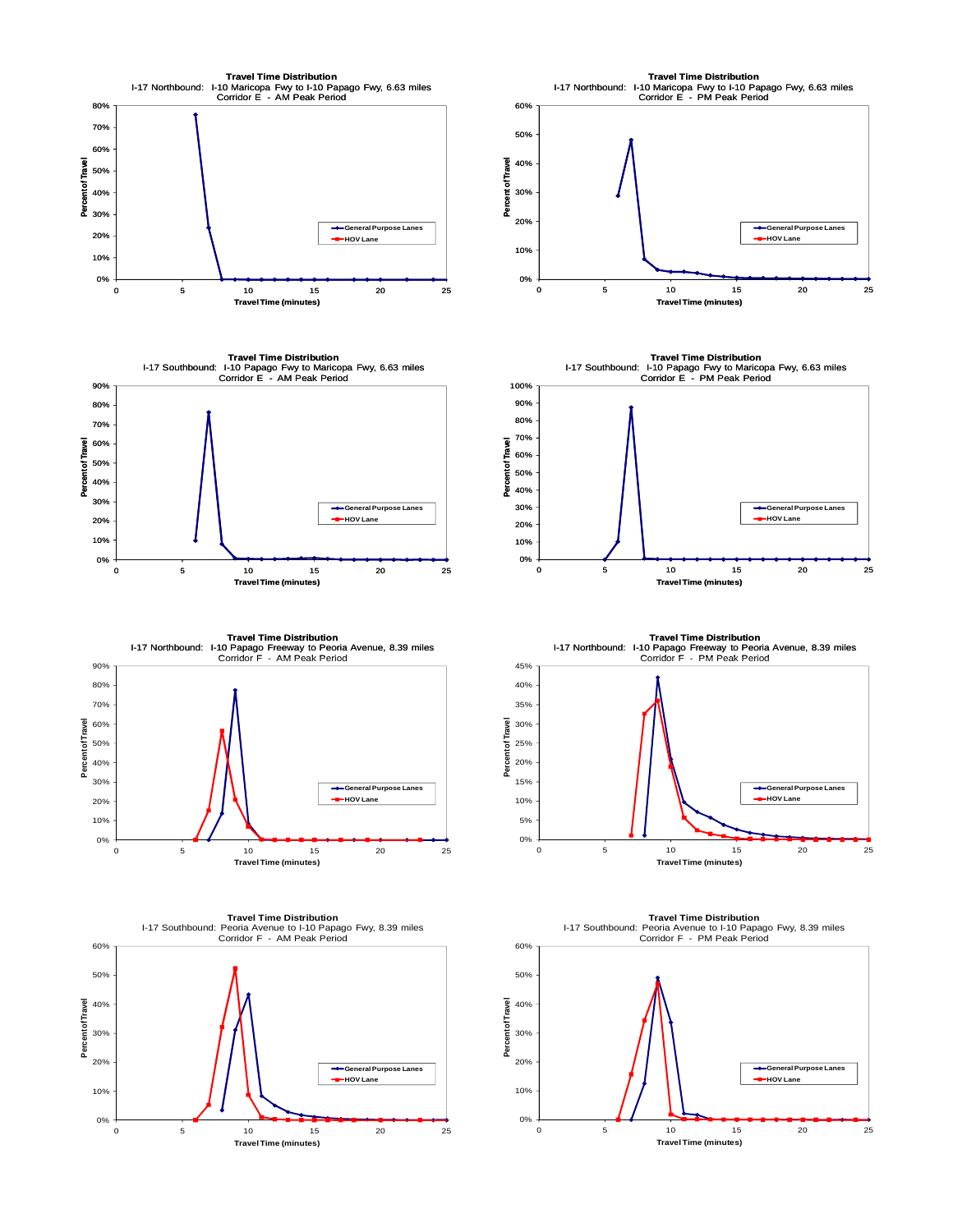











**Travel Time Distribution** I-17 Northbound: I-10 Papago Freeway to Peoria Avenue, 8.39 miles<br>Corridor F - PM Peak Period 0% 5% 10% 15% 20% 25% 30% 35% 40% 45% **General Purpose Lanes HOV Lane** 



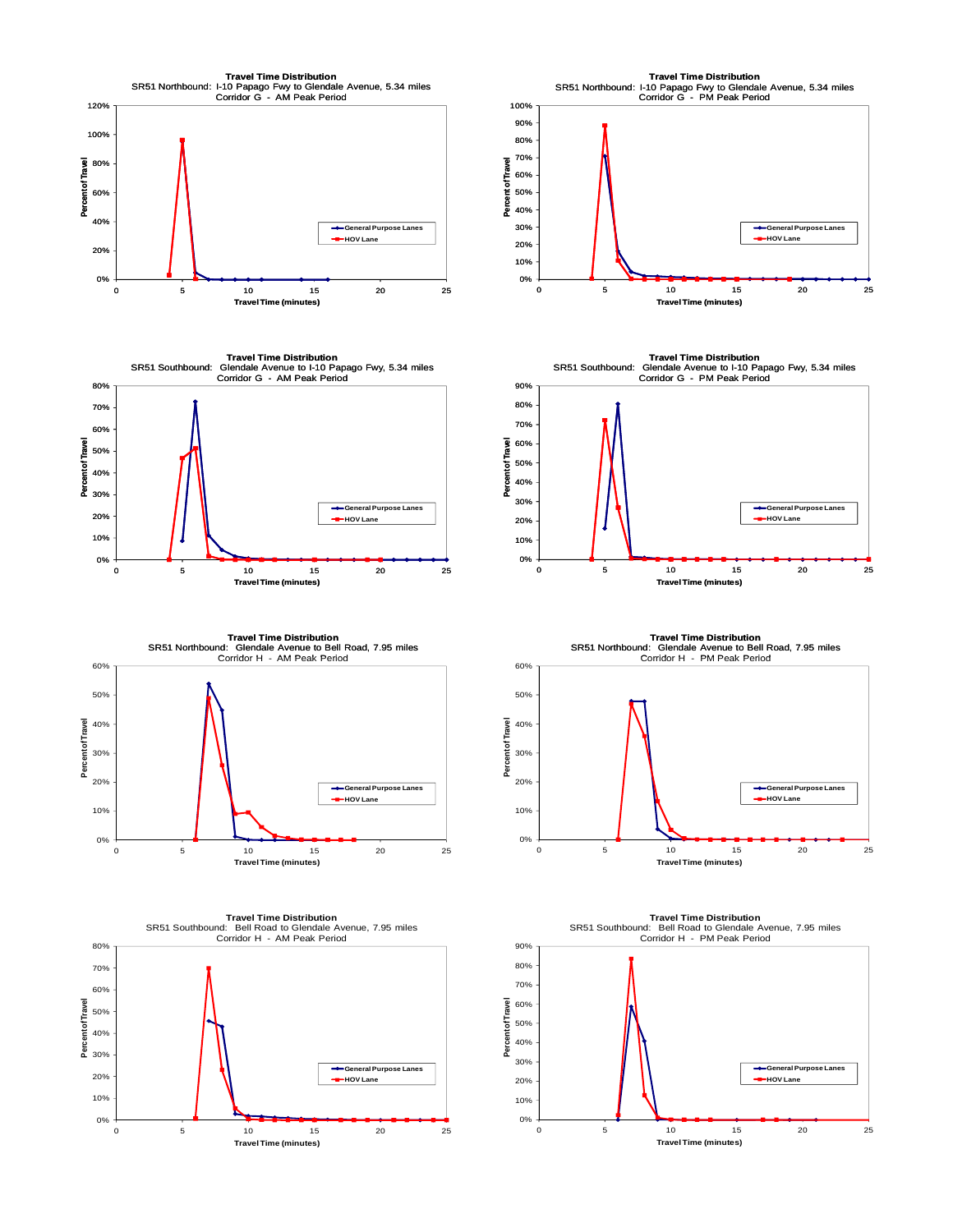









**Travel Time Distribution** SR51 Southbound: Glendale Avenue to I-10 Papago Fwy, 5.34 miles Corridor G - PM Peak Period 90% 80% 70% 60% Percent of Travel **Percent of Travel** 50% 40% 30% **General Purpose Lanes HOV Lane** 20% 10% 0% 0 5 10 15 20 25 **Travel Time (minutes)**

**Travel Time Distribution** SR51 Northbound: Glendale Avenue to Bell Road, 7.95 miles<br>Corridor H - PM Peak Period



**Travel Time Distribution** SR51 Southbound: Bell Road to Glendale Avenue, 7.95 miles Corridor H - PM Peak Period

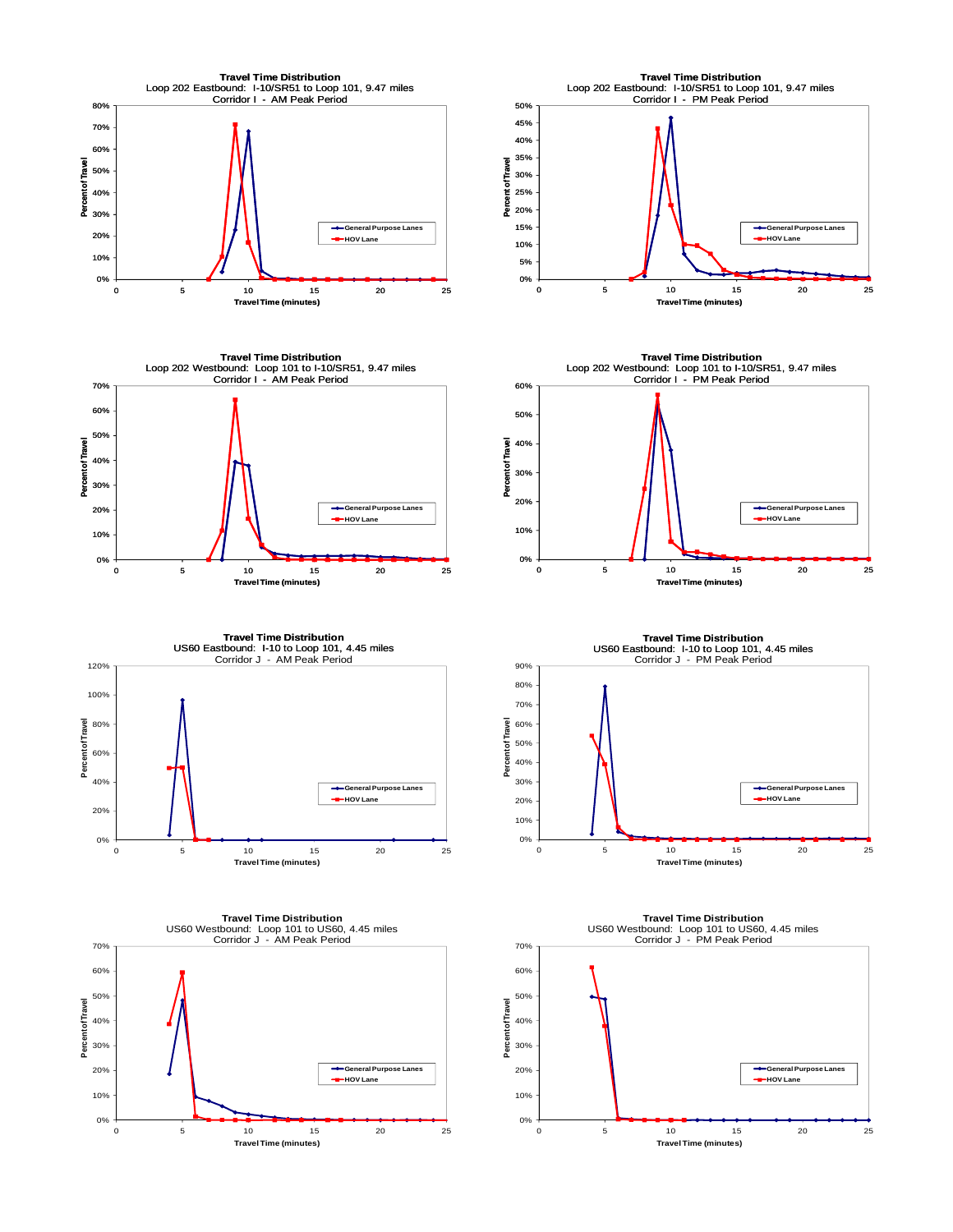







**Travel Time Distribution** US60 Eastbound: I-10 to Loop 101, 4.45 miles<br>Corridor J - AM Peak Period

120%





US60 Eastbound: I-10 to Loop 101, 4.45 miles<br>Corridor J - PM Peak Period 10% 20% 30% 40% 90% **General Purpose Lanes HOV Lane**

**Travel Time Distribution**



**Travel Time Distribution<br>US60 Westbound: Loop 101 to US60, 4.45 miles<br>Corridor J - PM Peak Period** 70% 60% 50% Percent of Travel **Percent of Travel** 40% 30% 20% **General Purpose Lanes HOV Lane** 10% 0% 0 5 10 15 20 25 **Travel Time (minutes)**

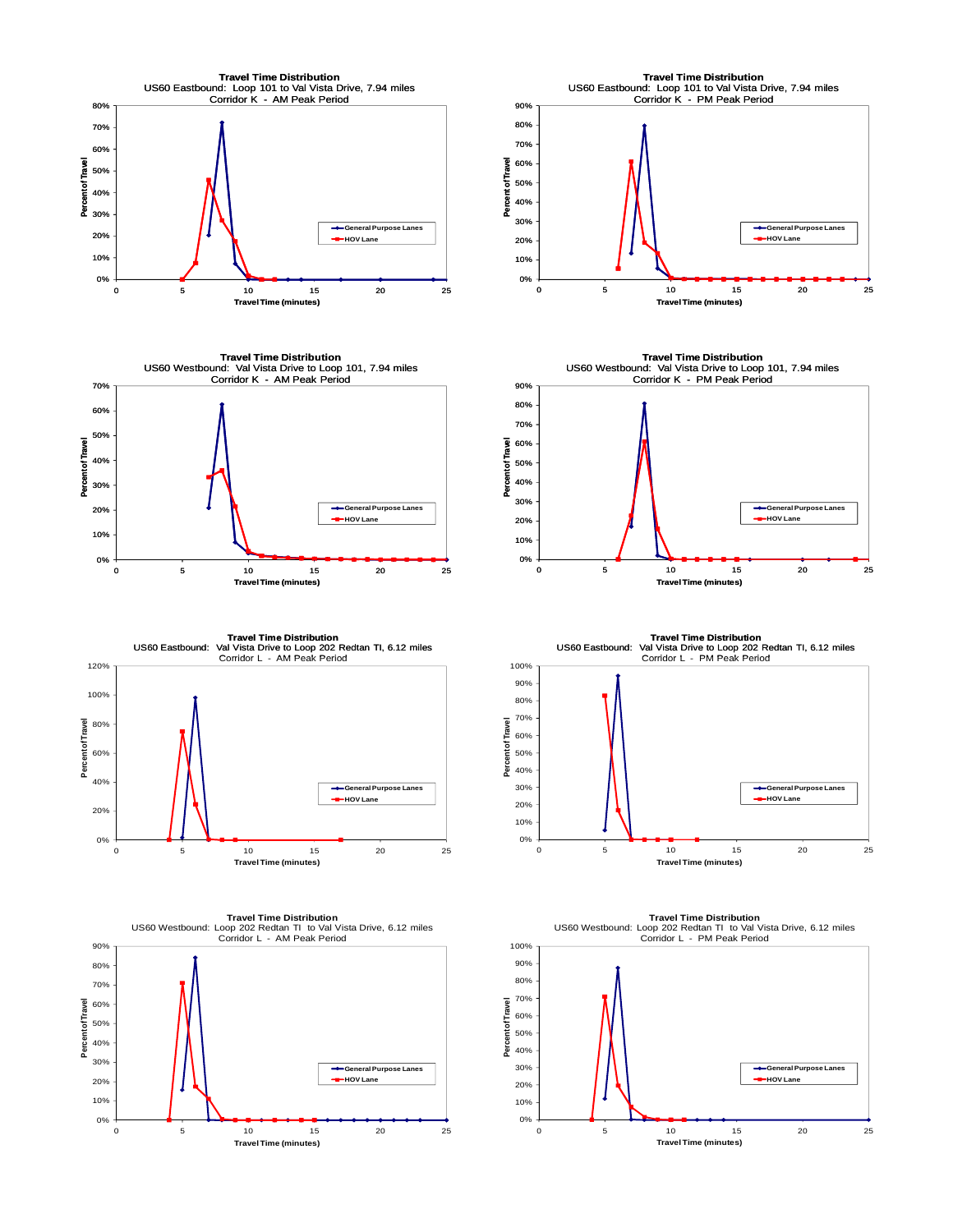





0% 10% 20% 30% 40% 50% 60% 70% 80% 90% 0 5 10 15 20 25 **Percent of Travel Travel Time (minutes) Travel Time Distribution** US60 Westbound: Loop 202 Redtan TI to Val Vista Drive, 6.12 miles Corridor L - AM Peak Period **General Purpose Lanes HOV Lane**



**Travel Time Distribution** US60 Westbound: Val Vista Drive to Loop 101, 7.94 miles Corridor K - PM Peak Period 90% 80% 70% 60% **Percent of Travel** Percent of Travel 50% 40% 30% **General Purpose Lanes HOV Lane** 20% 10% 0% 0 5 10 15 20 25 **Travel Time (minutes)**

**Travel Time Distribution** US60 Eastbound: Val Vista Drive to Loop 202 Redtan TI, 6.12 miles<br>Corridor L - PM Peak Period

100%



**Travel Time Distribution** US60 Westbound: Loop 202 Redtan TI to Val Vista Drive, 6.12 miles Corridor L - PM Peak Period 100% 90% 80% 70% Percent of Travel **Percent of Travel** 60% 50% 40% 30% **General Purpose Lanes HOV Lane**20% 10% 0% 0 5 10 15 20 25 **Travel Time (minutes)**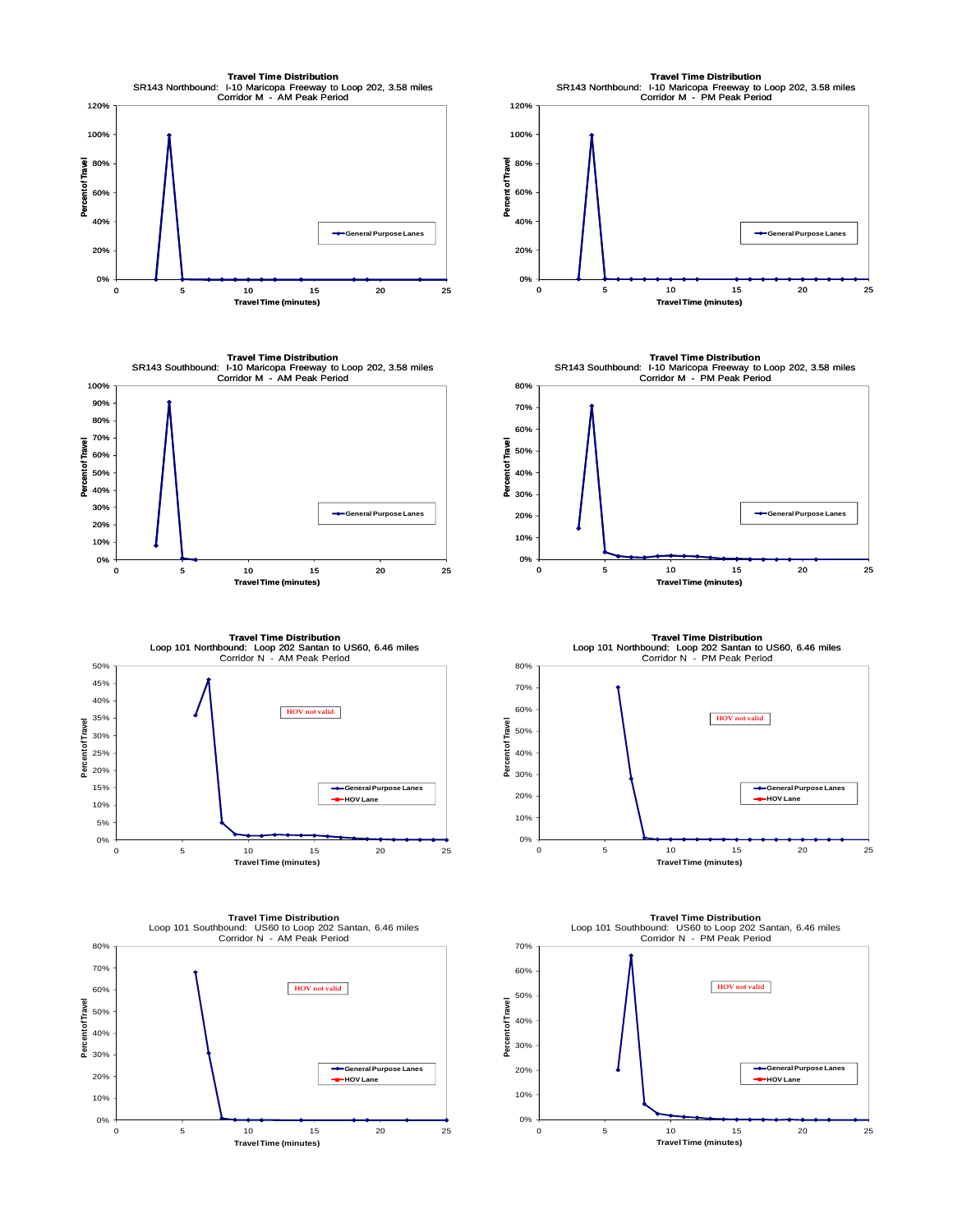



**Travel Time Distribution** Loop 101 Northbound: Loop 202 Santan to US60, 6.46 miles<br>Corridor N - AM Peak Period 5% 10% 15% 20% 25% 30% 35% 40% 45% 50% **Percent of Travel General Purpose Lanes HOV Lane HOV not valid**

0 5 10 15 20 25

**Travel Time (minutes)**

0%





**Travel Time Distribution** SR143 Southbound: I-10 Maricopa Freeway to Loop 202, 3.58 miles Corridor M - PM Peak Period 80% 70% 60% **Percent of Travel** Trave 50% int of 40% <u>ដី</u> 30% **General Purpose Lanes** 20% 10% 0% 0 5 10 15 20 25 **Travel Time (minutes)**

**Travel Time Distribution** Loop 101 Northbound: Loop 202 Santan to US60, 6.46 miles<br>Corridor N - PM Peak Period



**Travel Time Distribution** Loop 101 Southbound: US60 to Loop 202 Santan, 6.46 miles Corridor N - PM Peak Period 70% 60% **HOV not valid**50% **Percent of Travel Percent of Travel** 40% 30% 20% **General Purpose Lanes HOV Lane** 10% 0% 0 5 10 15 20 25 **Travel Time (minutes)**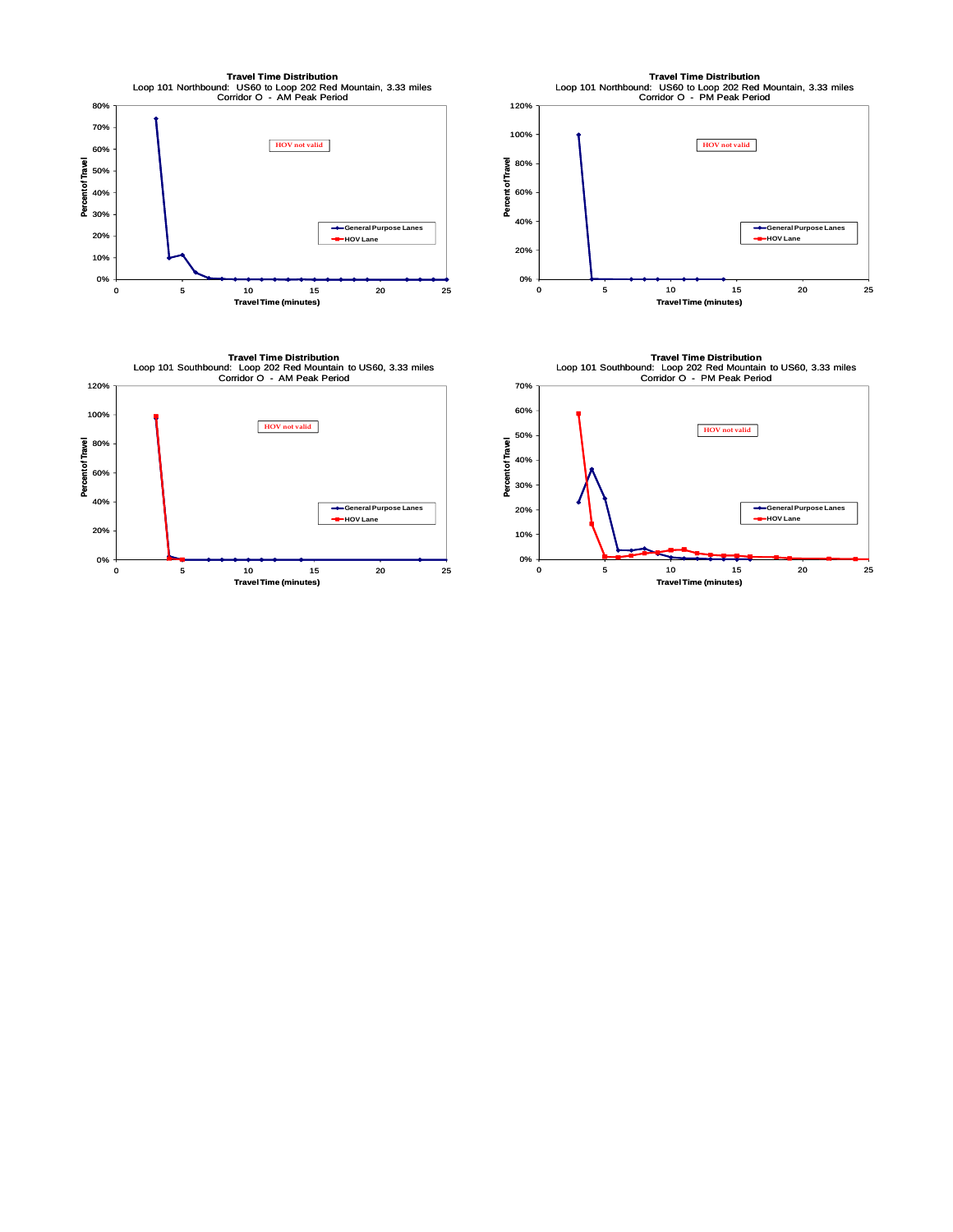



0% 20% 40% 60% 80% 100% 120% 0 5 10 15 20 25 **Percent of Travel Travel Time (minutes) Travel Time Distribution<br>Loop 101 Northbound: US60 to Loop 202 Red Mountain, 3.33 miles<br>Corridor O - PM Peak Period** General Purpose Lanes **HOV Lane HOV not valid**



**Travel Time Distribution**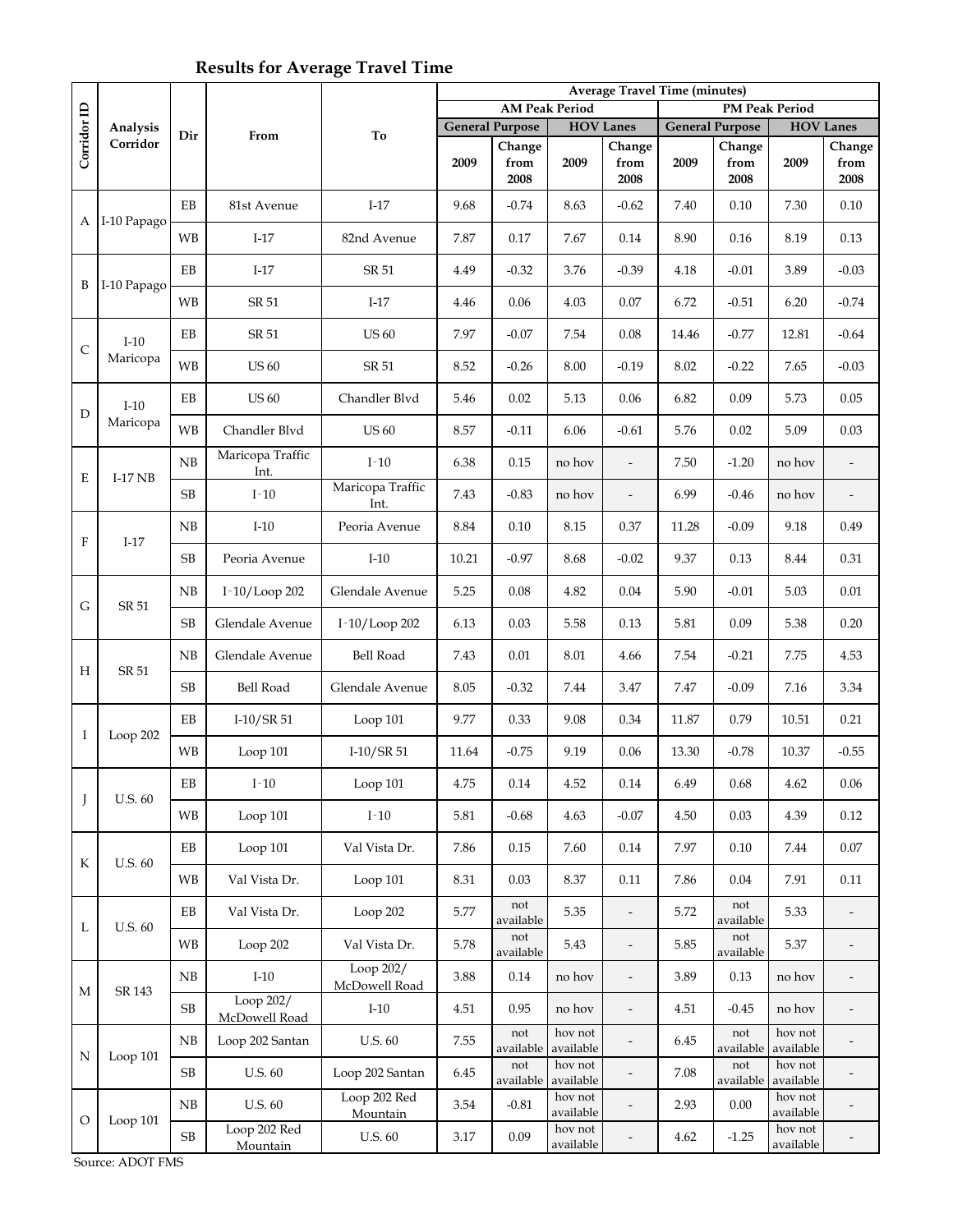## **Results for Average Travel Time**

|              |                    |            |                            |                            | <b>Average Travel Time (minutes)</b> |                        |                      |                          |                       |                        |                      |                          |  |
|--------------|--------------------|------------|----------------------------|----------------------------|--------------------------------------|------------------------|----------------------|--------------------------|-----------------------|------------------------|----------------------|--------------------------|--|
|              | Analysis           |            |                            |                            | <b>AM Peak Period</b>                |                        |                      |                          | <b>PM Peak Period</b> |                        |                      |                          |  |
| Corridor ID  |                    |            |                            |                            |                                      | <b>General Purpose</b> | <b>HOV Lanes</b>     |                          |                       | <b>General Purpose</b> | <b>HOV</b> Lanes     |                          |  |
|              | Corridor           | Dir        | From                       | To                         |                                      | Change                 |                      | Change                   |                       | Change                 |                      | Change                   |  |
|              |                    |            |                            |                            | 2009                                 | from<br>2008           | 2009                 | from<br>2008             | 2009                  | from<br>2008           | 2009                 | from<br>2008             |  |
| А            | I-10 Papago        | EB         | 81st Avenue                | $I-17$                     | 9.68                                 | $-0.74$                | 8.63                 | $-0.62$                  | 7.40                  | 0.10                   | 7.30                 | 0.10                     |  |
|              |                    | <b>WB</b>  | $I-17$                     | 82nd Avenue                | 7.87                                 | 0.17                   | 7.67                 | 0.14                     | 8.90                  | 0.16                   | 8.19                 | 0.13                     |  |
| B            | I-10 Papago        | EB         | $I-17$                     | SR 51                      | 4.49                                 | $-0.32$                | 3.76                 | $-0.39$                  | 4.18                  | $-0.01$                | 3.89                 | $-0.03$                  |  |
|              |                    | <b>WB</b>  | SR 51                      | $I-17$                     | 4.46                                 | 0.06                   | 4.03                 | 0.07                     | 6.72                  | $-0.51$                | 6.20                 | $-0.74$                  |  |
| $\mathsf{C}$ | $I-10$<br>Maricopa | EB         | SR 51                      | <b>US 60</b>               | 7.97                                 | $-0.07$                | 7.54                 | 0.08                     | 14.46                 | $-0.77$                | 12.81                | $-0.64$                  |  |
|              |                    | <b>WB</b>  | <b>US 60</b>               | SR 51                      | 8.52                                 | $-0.26$                | 8.00                 | $-0.19$                  | 8.02                  | $-0.22$                | 7.65                 | $-0.03$                  |  |
| D            | $I-10$             | $\rm EB$   | <b>US 60</b>               | Chandler Blvd              | 5.46                                 | 0.02                   | 5.13                 | 0.06                     | 6.82                  | 0.09                   | 5.73                 | 0.05                     |  |
|              | Maricopa           | <b>WB</b>  | Chandler Blvd              | <b>US 60</b>               | 8.57                                 | $-0.11$                | 6.06                 | $-0.61$                  | 5.76                  | 0.02                   | 5.09                 | 0.03                     |  |
| E            | $I-17$ NB          | ${\rm NB}$ | Maricopa Traffic<br>Int.   | $I-10$                     | 6.38                                 | 0.15                   | no hov               | $\overline{\phantom{a}}$ | 7.50                  | $-1.20$                | no hov               | $\overline{\phantom{a}}$ |  |
|              |                    | SB         | $I-10$                     | Maricopa Traffic<br>Int.   | 7.43                                 | $-0.83$                | no hov               | $\overline{\phantom{a}}$ | 6.99                  | $-0.46$                | no hov               | $\frac{1}{2}$            |  |
| $\mathbf{F}$ | $I-17$             | NB         | $I-10$                     | Peoria Avenue              | 8.84                                 | 0.10                   | 8.15                 | 0.37                     | 11.28                 | $-0.09$                | 9.18                 | 0.49                     |  |
|              |                    | SB         | Peoria Avenue              | $I-10$                     | 10.21                                | $-0.97$                | 8.68                 | $-0.02$                  | 9.37                  | 0.13                   | 8.44                 | 0.31                     |  |
|              | SR 51              | NB         | I-10/Loop 202              | Glendale Avenue            | 5.25                                 | 0.08                   | 4.82                 | 0.04                     | 5.90                  | $-0.01$                | 5.03                 | $0.01\,$                 |  |
| G            |                    | SB         | Glendale Avenue            | I-10/Loop 202              | 6.13                                 | 0.03                   | 5.58                 | 0.13                     | 5.81                  | 0.09                   | 5.38                 | 0.20                     |  |
| Н            | SR 51              | NB         | Glendale Avenue            | <b>Bell Road</b>           | 7.43                                 | 0.01                   | 8.01                 | 4.66                     | 7.54                  | $-0.21$                | 7.75                 | 4.53                     |  |
|              |                    | SB         | Bell Road                  | Glendale Avenue            | 8.05                                 | $-0.32$                | 7.44                 | 3.47                     | 7.47                  | $-0.09$                | 7.16                 | 3.34                     |  |
| I            | Loop 202           | ΕB         | $I-10/SR51$                | Loop 101                   | 9.77                                 | 0.33                   | 9.08                 | 0.34                     | 11.87                 | 0.79                   | 10.51                | 0.21                     |  |
|              |                    | WB         | Loop 101                   | $I-10/SR51$                | 11.64                                | $-0.75$                | 9.19                 | 0.06                     | 13.30                 | $-0.78$                | 10.37                | $-0.55$                  |  |
| J            | U.S. 60            | EB         | $I-10$                     | Loop 101                   | 4.75                                 | 0.14                   | 4.52                 | 0.14                     | 6.49                  | 0.68                   | 4.62                 | 0.06                     |  |
|              |                    | WB         | Loop 101                   | $I-10$                     | 5.81                                 | $-0.68$                | 4.63                 | $-0.07$                  | 4.50                  | 0.03                   | 4.39                 | 0.12                     |  |
| K            | <b>U.S. 60</b>     | EB         | Loop 101                   | Val Vista Dr.              | 7.86                                 | 0.15                   | 7.60                 | 0.14                     | 7.97                  | 0.10                   | 7.44                 | $0.07\,$                 |  |
|              |                    | <b>WB</b>  | Val Vista Dr.              | Loop 101                   | 8.31                                 | 0.03                   | 8.37                 | 0.11                     | 7.86                  | 0.04                   | 7.91                 | 0.11                     |  |
| L            | U.S. 60            | EB         | Val Vista Dr.              | Loop 202                   | 5.77                                 | not<br>available       | 5.35                 | $\overline{\phantom{a}}$ | 5.72                  | not<br>available       | 5.33                 | $\overline{\phantom{a}}$ |  |
|              |                    | <b>WB</b>  | Loop 202                   | Val Vista Dr.              | 5.78                                 | not<br>available       | 5.43                 | $\overline{\phantom{a}}$ | 5.85                  | not<br>available       | 5.37                 | $\overline{\phantom{a}}$ |  |
| М            | SR 143             | NB         | $I-10$                     | Loop 202/<br>McDowell Road | 3.88                                 | $0.14\,$               | no hov               | $\overline{\phantom{a}}$ | 3.89                  | 0.13                   | no hov               | $\overline{\phantom{a}}$ |  |
|              |                    | SB         | Loop 202/<br>McDowell Road | $I-10$                     | 4.51                                 | 0.95                   | no hov               | $\overline{\phantom{m}}$ | 4.51                  | $-0.45$                | no hov               | $\qquad \qquad -$        |  |
| N            | Loop 101           | NB         | Loop 202 Santan            | U.S. 60                    | 7.55                                 | not<br>available       | hov not<br>available | $\overline{a}$           | 6.45                  | not<br>available       | hov not<br>available |                          |  |
|              |                    | SB         | U.S. 60                    | Loop 202 Santan            | 6.45                                 | not<br>available       | hov not<br>available |                          | 7.08                  | not<br>available       | hov not<br>available |                          |  |
| $\circ$      |                    | NB         | U.S. 60                    | Loop 202 Red<br>Mountain   | 3.54                                 | $-0.81$                | hov not<br>available |                          | 2.93                  | $0.00\,$               | hov not<br>available |                          |  |
|              | Loop 101           | $\rm SB$   | Loop 202 Red<br>Mountain   | U.S. $60$                  | 3.17                                 | 0.09                   | hov not<br>available |                          | 4.62                  | $-1.25$                | hov not<br>available |                          |  |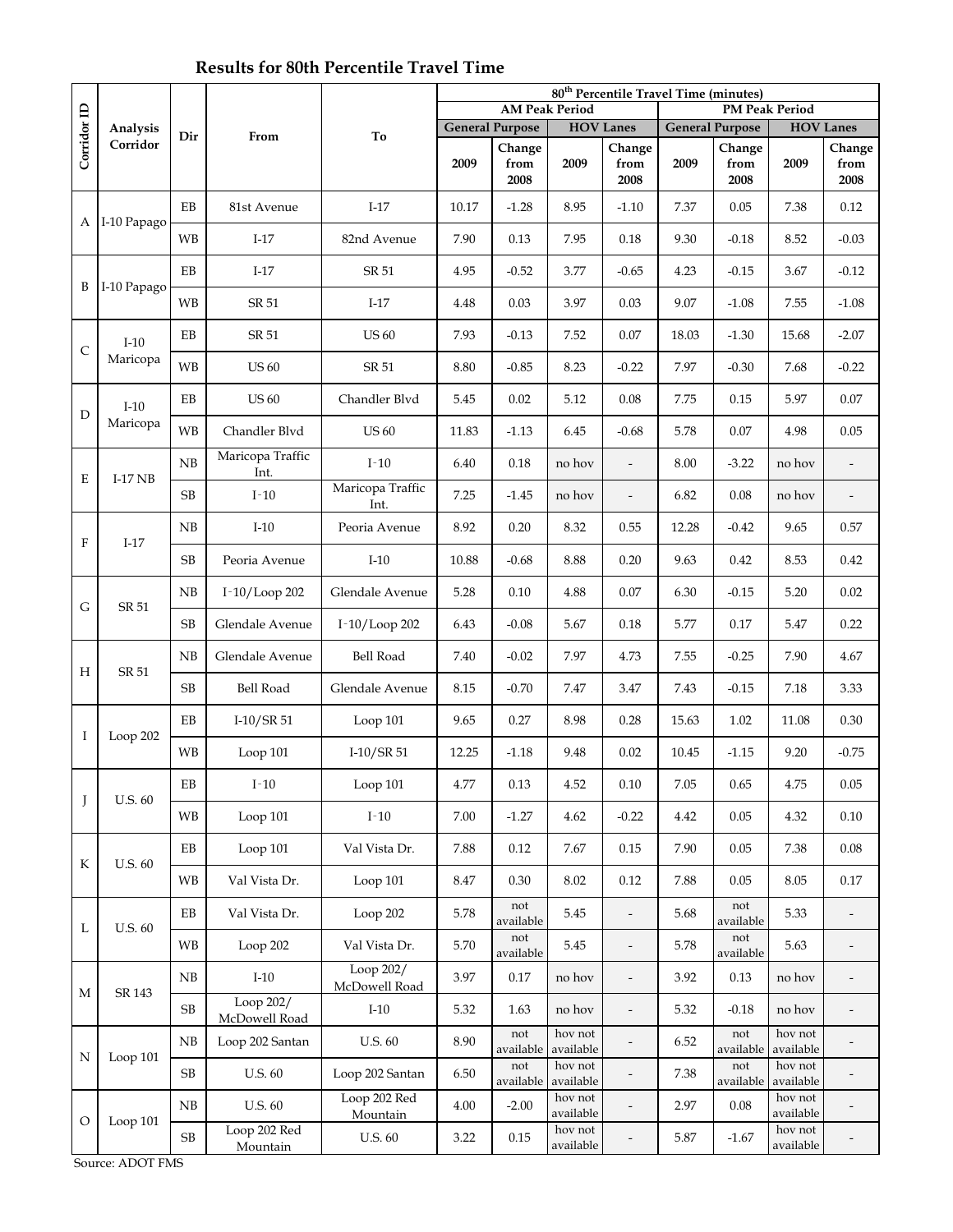## **Results for 80th Percentile Travel Time**

|              |                |           |                            |                            | 80 <sup>th</sup> Percentile Travel Time (minutes) |                        |                       |                          |       |                        |                      |                          |  |
|--------------|----------------|-----------|----------------------------|----------------------------|---------------------------------------------------|------------------------|-----------------------|--------------------------|-------|------------------------|----------------------|--------------------------|--|
|              | Analysis       |           |                            |                            |                                                   |                        | <b>AM Peak Period</b> |                          |       | <b>PM Peak Period</b>  |                      |                          |  |
| Corridor ID  |                | Dir       | From                       | To                         |                                                   | <b>General Purpose</b> | <b>HOV Lanes</b>      |                          |       | <b>General Purpose</b> |                      | <b>HOV Lanes</b>         |  |
|              | Corridor       |           |                            |                            | 2009                                              | Change<br>from<br>2008 | 2009                  | Change<br>from<br>2008   | 2009  | Change<br>from<br>2008 | 2009                 | Change<br>from<br>2008   |  |
| А            | I-10 Papago    | EB        | 81st Avenue                | $I-17$                     | 10.17                                             | $-1.28$                | 8.95                  | $-1.10$                  | 7.37  | 0.05                   | 7.38                 | 0.12                     |  |
|              |                | <b>WB</b> | $I-17$                     | 82nd Avenue                | 7.90                                              | 0.13                   | 7.95                  | 0.18                     | 9.30  | $-0.18$                | 8.52                 | $-0.03$                  |  |
| B            | I-10 Papago    | EB        | $I-17$                     | SR 51                      | 4.95                                              | $-0.52$                | 3.77                  | $-0.65$                  | 4.23  | $-0.15$                | 3.67                 | $-0.12$                  |  |
|              |                | <b>WB</b> | SR 51                      | $I-17$                     | 4.48                                              | 0.03                   | 3.97                  | 0.03                     | 9.07  | $-1.08$                | 7.55                 | $-1.08$                  |  |
| $\mathsf{C}$ | $I-10$         | EB        | SR 51                      | <b>US 60</b>               | 7.93                                              | $-0.13$                | 7.52                  | 0.07                     | 18.03 | $-1.30$                | 15.68                | $-2.07$                  |  |
|              | Maricopa       | <b>WB</b> | <b>US 60</b>               | SR 51                      | 8.80                                              | $-0.85$                | 8.23                  | $-0.22$                  | 7.97  | $-0.30$                | 7.68                 | $-0.22$                  |  |
| D            | $I-10$         | EB        | <b>US 60</b>               | Chandler Blvd              | 5.45                                              | 0.02                   | 5.12                  | 0.08                     | 7.75  | 0.15                   | 5.97                 | 0.07                     |  |
|              | Maricopa       | <b>WB</b> | Chandler Blvd              | <b>US 60</b>               | 11.83                                             | $-1.13$                | 6.45                  | $-0.68$                  | 5.78  | 0.07                   | 4.98                 | 0.05                     |  |
| E            | $I-17$ NB      | NB        | Maricopa Traffic<br>Int.   | $I-10$                     | 6.40                                              | 0.18                   | no hov                | $\overline{\phantom{a}}$ | 8.00  | $-3.22$                | no hov               |                          |  |
|              |                | $\rm SB$  | $I-10$                     | Maricopa Traffic<br>Int.   | 7.25                                              | $-1.45$                | no hov                | $\overline{\phantom{a}}$ | 6.82  | 0.08                   | no hov               | $\frac{1}{2}$            |  |
| $\mathbf{F}$ | $I-17$         | NB        | $I-10$                     | Peoria Avenue              | 8.92                                              | 0.20                   | 8.32                  | 0.55                     | 12.28 | $-0.42$                | 9.65                 | 0.57                     |  |
|              |                | SB        | Peoria Avenue              | $I-10$                     | 10.88                                             | $-0.68$                | 8.88                  | 0.20                     | 9.63  | 0.42                   | 8.53                 | 0.42                     |  |
| G            | SR 51          | NB        | I-10/Loop 202              | Glendale Avenue            | 5.28                                              | 0.10                   | 4.88                  | 0.07                     | 6.30  | $-0.15$                | 5.20                 | 0.02                     |  |
|              |                | SB        | Glendale Avenue            | I-10/Loop 202              | 6.43                                              | $-0.08$                | 5.67                  | 0.18                     | 5.77  | 0.17                   | 5.47                 | 0.22                     |  |
| Н            | SR 51          | NB        | Glendale Avenue            | Bell Road                  | 7.40                                              | $-0.02$                | 7.97                  | 4.73                     | 7.55  | $-0.25$                | 7.90                 | 4.67                     |  |
|              |                | SB        | Bell Road                  | Glendale Avenue            | 8.15                                              | $-0.70$                | 7.47                  | 3.47                     | 7.43  | $-0.15$                | 7.18                 | 3.33                     |  |
| I            | Loop $202$     | ΕB        | $I-10/SR51$                | Loop 101                   | 9.65                                              | 0.27                   | 8.98                  | 0.28                     | 15.63 | 1.02                   | 11.08                | 0.30                     |  |
|              |                | <b>WB</b> | Loop 101                   | $I-10/SR51$                | 12.25                                             | $-1.18$                | 9.48                  | 0.02                     | 10.45 | $-1.15$                | 9.20                 | $-0.75$                  |  |
| J            | U.S. 60        | EB        | $I-10$                     | Loop 101                   | 4.77                                              | 0.13                   | 4.52                  | 0.10                     | 7.05  | 0.65                   | 4.75                 | 0.05                     |  |
|              |                | WB        | Loop 101                   | $I-10$                     | 7.00                                              | $-1.27$                | 4.62                  | $-0.22$                  | 4.42  | $0.05\,$               | 4.32                 | $0.10\,$                 |  |
| K            | <b>U.S. 60</b> | EB        | Loop 101                   | Val Vista Dr.              | 7.88                                              | 0.12                   | 7.67                  | 0.15                     | 7.90  | 0.05                   | 7.38                 | 0.08                     |  |
|              |                | WB        | Val Vista Dr.              | Loop 101                   | 8.47                                              | 0.30                   | 8.02                  | 0.12                     | 7.88  | 0.05                   | 8.05                 | 0.17                     |  |
| L            | U.S. 60        | EB        | Val Vista Dr.              | Loop 202                   | 5.78                                              | not<br>available       | 5.45                  | $\overline{\phantom{a}}$ | 5.68  | not<br>available       | 5.33                 | $\overline{\phantom{a}}$ |  |
|              |                | <b>WB</b> | Loop 202                   | Val Vista Dr.              | 5.70                                              | not<br>available       | 5.45                  | $\overline{\phantom{a}}$ | 5.78  | not<br>available       | 5.63                 | $\overline{\phantom{a}}$ |  |
| М            | SR 143         | NB        | $I-10$                     | Loop 202/<br>McDowell Road | 3.97                                              | $0.17\,$               | no hov                | $\overline{\phantom{a}}$ | 3.92  | 0.13                   | no hov               | $\overline{\phantom{a}}$ |  |
|              |                | SB        | Loop 202/<br>McDowell Road | $I-10$                     | 5.32                                              | 1.63                   | no hov                | $\overline{\phantom{m}}$ | 5.32  | $-0.18$                | no hov               | -                        |  |
| N            | Loop 101       | NB        | Loop 202 Santan            | U.S. 60                    | 8.90                                              | not<br>available       | hov not<br>available  | $\frac{1}{2}$            | 6.52  | not<br>available       | hov not<br>available |                          |  |
|              |                | SB        | U.S. 60                    | Loop 202 Santan            | 6.50                                              | not<br>available       | hov not<br>available  |                          | 7.38  | not<br>available       | hov not<br>available |                          |  |
| $\circ$      |                | NB        | <b>U.S. 60</b>             | Loop 202 Red<br>Mountain   | 4.00                                              | $-2.00$                | hov not<br>available  |                          | 2.97  | $0.08\,$               | hov not<br>available |                          |  |
|              | Loop 101       | $\rm SB$  | Loop 202 Red<br>Mountain   | U.S. $60$                  | 3.22                                              | 0.15                   | hov not<br>available  |                          | 5.87  | $-1.67$                | hov not<br>available |                          |  |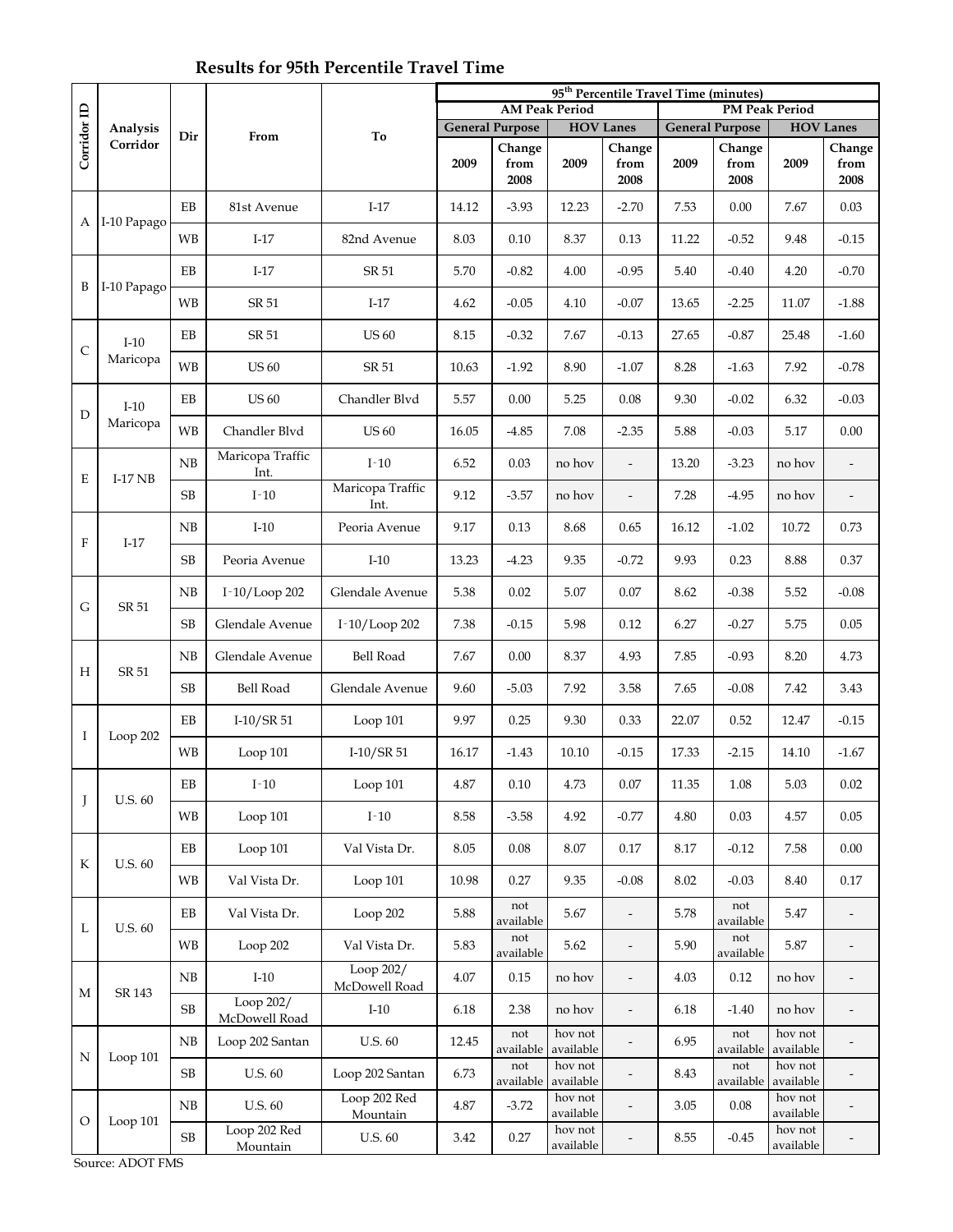# **Results for 95th Percentile Travel Time**

|                           |                      |            |                            |                            | 95 <sup>th</sup> Percentile Travel Time (minutes) |                        |                       |                          |       |                        |                       |                          |  |
|---------------------------|----------------------|------------|----------------------------|----------------------------|---------------------------------------------------|------------------------|-----------------------|--------------------------|-------|------------------------|-----------------------|--------------------------|--|
|                           |                      | Dir        |                            |                            |                                                   |                        | <b>AM Peak Period</b> |                          |       |                        | <b>PM Peak Period</b> |                          |  |
| Corridor ID               | Analysis<br>Corridor |            | From                       | To                         |                                                   | <b>General Purpose</b> |                       | <b>HOV Lanes</b>         |       | <b>General Purpose</b> | <b>HOV Lanes</b>      |                          |  |
|                           |                      |            |                            |                            | 2009                                              | Change<br>from<br>2008 | 2009                  | Change<br>from<br>2008   | 2009  | Change<br>from<br>2008 | 2009                  | Change<br>from<br>2008   |  |
| А                         | I-10 Papago          | EB         | 81st Avenue                | $I-17$                     | 14.12                                             | $-3.93$                | 12.23                 | $-2.70$                  | 7.53  | 0.00                   | 7.67                  | 0.03                     |  |
|                           |                      | <b>WB</b>  | $I-17$                     | 82nd Avenue                | 8.03                                              | 0.10                   | 8.37                  | 0.13                     | 11.22 | $-0.52$                | 9.48                  | $-0.15$                  |  |
| B                         | I-10 Papago          | EB         | $I-17$                     | SR 51                      | 5.70                                              | $-0.82$                | 4.00                  | $-0.95$                  | 5.40  | $-0.40$                | 4.20                  | $-0.70$                  |  |
|                           |                      | <b>WB</b>  | SR 51                      | $I-17$                     | 4.62                                              | $-0.05$                | 4.10                  | $-0.07$                  | 13.65 | $-2.25$                | 11.07                 | $-1.88$                  |  |
| $\mathsf{C}$              | $I-10$<br>Maricopa   | EB         | SR 51                      | <b>US 60</b>               | 8.15                                              | $-0.32$                | 7.67                  | $-0.13$                  | 27.65 | $-0.87$                | 25.48                 | $-1.60$                  |  |
|                           |                      | <b>WB</b>  | <b>US 60</b>               | SR 51                      | 10.63                                             | $-1.92$                | 8.90                  | $-1.07$                  | 8.28  | $-1.63$                | 7.92                  | $-0.78$                  |  |
| D                         | $I-10$               | EB         | <b>US 60</b>               | Chandler Blvd              | 5.57                                              | 0.00                   | 5.25                  | 0.08                     | 9.30  | $-0.02$                | 6.32                  | $-0.03$                  |  |
|                           | Maricopa             | <b>WB</b>  | Chandler Blvd              | <b>US 60</b>               | 16.05                                             | $-4.85$                | 7.08                  | $-2.35$                  | 5.88  | $-0.03$                | 5.17                  | 0.00                     |  |
| E                         | $I-17$ NB            | ${\rm NB}$ | Maricopa Traffic<br>Int.   | $I-10$                     | 6.52                                              | 0.03                   | no hov                | $\overline{\phantom{a}}$ | 13.20 | $-3.23$                | no hov                | $\overline{\phantom{0}}$ |  |
|                           |                      | SB         | $I-10$                     | Maricopa Traffic<br>Int.   | 9.12                                              | $-3.57$                | no hov                | $\overline{a}$           | 7.28  | $-4.95$                | no hov                |                          |  |
| $\boldsymbol{\mathrm{F}}$ | $I-17$               | NB         | $I-10$                     | Peoria Avenue              | 9.17                                              | 0.13                   | 8.68                  | 0.65                     | 16.12 | $-1.02$                | 10.72                 | 0.73                     |  |
|                           |                      | SB         | Peoria Avenue              | $I-10$                     | 13.23                                             | $-4.23$                | 9.35                  | $-0.72$                  | 9.93  | 0.23                   | 8.88                  | 0.37                     |  |
| G                         | SR 51                | NB         | I-10/Loop 202              | Glendale Avenue            | 5.38                                              | 0.02                   | 5.07                  | 0.07                     | 8.62  | $-0.38$                | 5.52                  | $-0.08$                  |  |
|                           |                      | SB         | Glendale Avenue            | $I-10/Loop 202$            | 7.38                                              | $-0.15$                | 5.98                  | 0.12                     | 6.27  | $-0.27$                | 5.75                  | 0.05                     |  |
| Н                         | SR 51                | NB         | Glendale Avenue            | Bell Road                  | 7.67                                              | 0.00                   | 8.37                  | 4.93                     | 7.85  | $-0.93$                | 8.20                  | 4.73                     |  |
|                           |                      | SB         | Bell Road                  | Glendale Avenue            | 9.60                                              | $-5.03$                | 7.92                  | 3.58                     | 7.65  | $-0.08$                | 7.42                  | 3.43                     |  |
| I                         | Loop 202             | EB         | $I-10/SR51$                | Loop 101                   | 9.97                                              | 0.25                   | 9.30                  | 0.33                     | 22.07 | 0.52                   | 12.47                 | $-0.15$                  |  |
|                           |                      | <b>WB</b>  | Loop 101                   | $I-10/SR51$                | 16.17                                             | $-1.43$                | 10.10                 | $-0.15$                  | 17.33 | $-2.15$                | 14.10                 | $-1.67$                  |  |
| J                         | U.S. 60              | EB         | $I-10$                     | Loop 101                   | 4.87                                              | 0.10                   | 4.73                  | 0.07                     | 11.35 | 1.08                   | 5.03                  | 0.02                     |  |
|                           |                      | <b>WB</b>  | Loop 101                   | $I-10$                     | 8.58                                              | $-3.58$                | 4.92                  | $-0.77$                  | 4.80  | 0.03                   | 4.57                  | 0.05                     |  |
| K                         | <b>U.S. 60</b>       | EB         | Loop 101                   | Val Vista Dr.              | 8.05                                              | 0.08                   | 8.07                  | 0.17                     | 8.17  | $-0.12$                | 7.58                  | $0.00\,$                 |  |
|                           |                      | WB         | Val Vista Dr.              | Loop 101                   | 10.98                                             | 0.27                   | 9.35                  | $-0.08$                  | 8.02  | $-0.03$                | 8.40                  | 0.17                     |  |
| L                         | <b>U.S. 60</b>       | EB         | Val Vista Dr.              | Loop 202                   | 5.88                                              | not<br>available       | 5.67                  | $\frac{1}{2}$            | 5.78  | not<br>available       | 5.47                  | $\overline{\phantom{m}}$ |  |
|                           |                      | <b>WB</b>  | Loop 202                   | Val Vista Dr.              | 5.83                                              | not<br>available       | 5.62                  | $\overline{\phantom{a}}$ | 5.90  | not<br>available       | 5.87                  | $\frac{1}{2}$            |  |
| М                         | SR 143               | ${\rm NB}$ | $I-10$                     | Loop 202/<br>McDowell Road | 4.07                                              | 0.15                   | no hov                | $\overline{\phantom{a}}$ | 4.03  | 0.12                   | no hov                | $\overline{\phantom{a}}$ |  |
|                           |                      | SB         | Loop 202/<br>McDowell Road | $I-10$                     | 6.18                                              | 2.38                   | no hov                | $\frac{1}{2}$            | 6.18  | $-1.40$                | no hov                | $\qquad \qquad -$        |  |
| N                         | Loop 101             | ${\rm NB}$ | Loop 202 Santan            | U.S. 60                    | 12.45                                             | not<br>available       | hov not<br>available  |                          | 6.95  | not<br>available       | hov not<br>available  |                          |  |
|                           |                      | SB         | U.S. 60                    | Loop 202 Santan            | 6.73                                              | not<br>available       | hov not<br>available  |                          | 8.43  | not<br>available       | hov not<br>available  |                          |  |
| $\circ$                   | Loop 101             | ${\rm NB}$ | U.S. 60                    | Loop 202 Red<br>Mountain   | 4.87                                              | $-3.72$                | hov not<br>available  | $\overline{\phantom{m}}$ | 3.05  | 0.08                   | hov not<br>available  |                          |  |
|                           |                      | $\rm SB$   | Loop 202 Red<br>Mountain   | U.S. $60$                  | 3.42                                              | 0.27                   | hov not<br>available  |                          | 8.55  | $-0.45$                | hov not<br>available  |                          |  |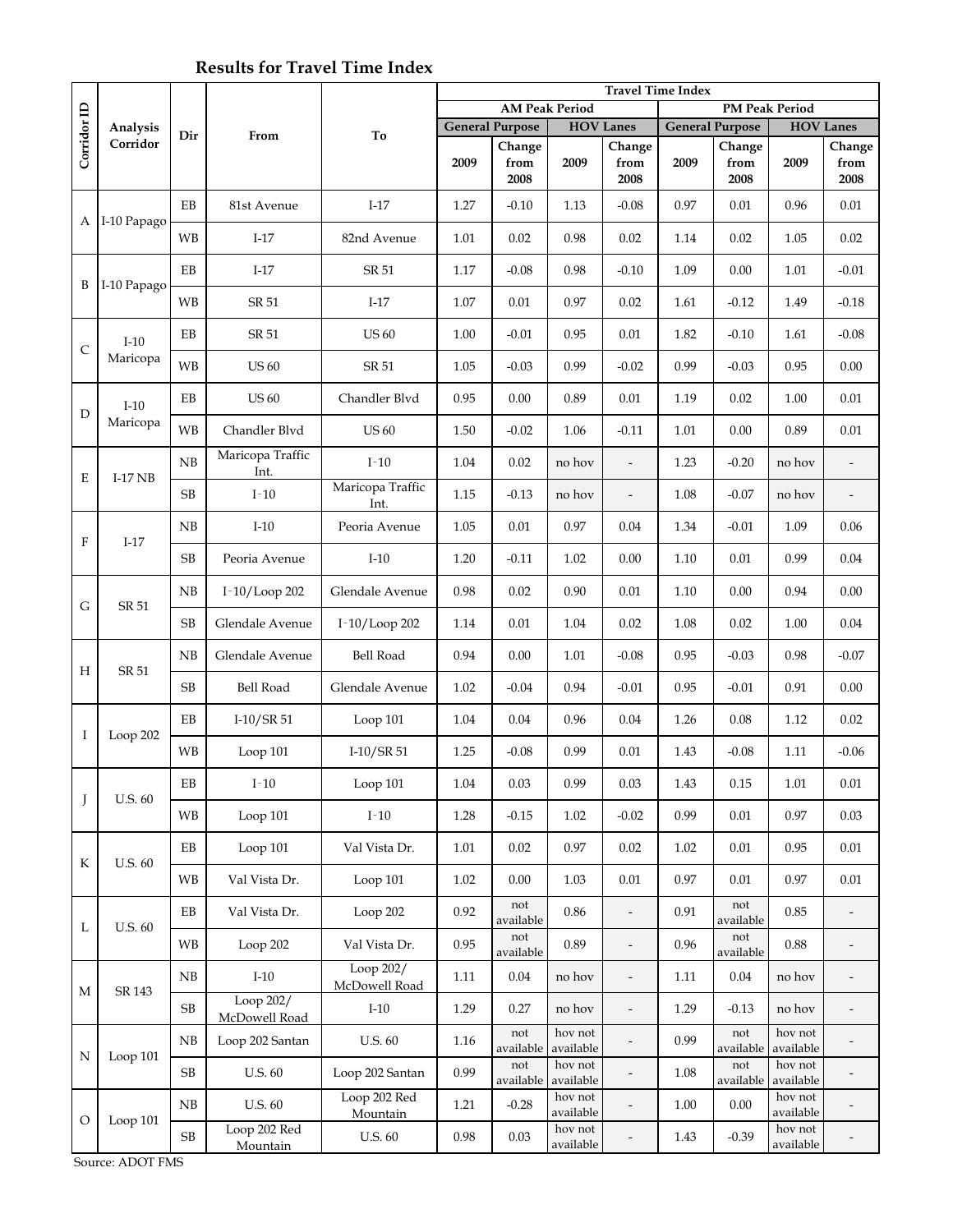## **Results for Travel Time Index**

|              |                    |            |                            |                            | <b>Travel Time Index</b> |                        |                      |                              |      |                        |                      |                              |  |
|--------------|--------------------|------------|----------------------------|----------------------------|--------------------------|------------------------|----------------------|------------------------------|------|------------------------|----------------------|------------------------------|--|
|              | Analysis           |            |                            |                            | <b>AM Peak Period</b>    |                        |                      |                              |      |                        |                      | <b>PM Peak Period</b>        |  |
| Corridor ID  |                    | Dir        | From                       | To                         |                          | <b>General Purpose</b> | <b>HOV Lanes</b>     |                              |      | <b>General Purpose</b> | <b>HOV Lanes</b>     |                              |  |
|              | Corridor           |            |                            |                            |                          | Change                 |                      | Change                       |      | Change                 |                      | Change                       |  |
|              |                    |            |                            |                            | 2009                     | from<br>2008           | 2009                 | from<br>2008                 | 2009 | from<br>2008           | 2009                 | from<br>2008                 |  |
| А            |                    | EB         | 81st Avenue                | $I-17$                     | 1.27                     | $-0.10$                | 1.13                 | $-0.08$                      | 0.97 | 0.01                   | 0.96                 | 0.01                         |  |
|              | I-10 Papago        | <b>WB</b>  | $I-17$                     | 82nd Avenue                | 1.01                     | 0.02                   | 0.98                 | 0.02                         | 1.14 | 0.02                   | 1.05                 | 0.02                         |  |
| B            | I-10 Papago        | EB         | $I-17$                     | SR 51                      | 1.17                     | $-0.08$                | 0.98                 | $-0.10$                      | 1.09 | $0.00\,$               | 1.01                 | $-0.01$                      |  |
|              |                    | <b>WB</b>  | SR 51                      | $I-17$                     | $1.07\,$                 | $0.01\,$               | 0.97                 | 0.02                         | 1.61 | $-0.12$                | 1.49                 | $-0.18$                      |  |
| $\mathsf{C}$ | $I-10$<br>Maricopa | EB         | SR 51                      | <b>US 60</b>               | 1.00                     | $-0.01$                | 0.95                 | 0.01                         | 1.82 | $-0.10$                | 1.61                 | $-0.08$                      |  |
|              |                    | <b>WB</b>  | <b>US 60</b>               | SR 51                      | 1.05                     | $-0.03$                | 0.99                 | $-0.02$                      | 0.99 | $-0.03$                | 0.95                 | 0.00                         |  |
| D            | $I-10$<br>Maricopa | $\rm EB$   | <b>US 60</b>               | Chandler Blvd              | 0.95                     | 0.00                   | 0.89                 | 0.01                         | 1.19 | 0.02                   | 1.00                 | $0.01\,$                     |  |
|              |                    | <b>WB</b>  | Chandler Blvd              | <b>US 60</b>               | 1.50                     | $-0.02$                | 1.06                 | $-0.11$                      | 1.01 | 0.00                   | 0.89                 | 0.01                         |  |
| E            | $I-17NB$           | ${\rm NB}$ | Maricopa Traffic<br>Int.   | $I-10$                     | 1.04                     | 0.02                   | no hov               | $\overline{\phantom{0}}$     | 1.23 | $-0.20$                | no hov               | $\overline{a}$               |  |
|              |                    | SB         | $I-10$                     | Maricopa Traffic<br>Int.   | 1.15                     | $-0.13$                | no hov               | $\overline{a}$               | 1.08 | $-0.07$                | no hov               | $\overline{\phantom{a}}$     |  |
| $\mathbf{F}$ | $I-17$             | NB         | $I-10$                     | Peoria Avenue              | 1.05                     | 0.01                   | 0.97                 | 0.04                         | 1.34 | $-0.01$                | 1.09                 | 0.06                         |  |
|              |                    | SB         | Peoria Avenue              | $I-10$                     | 1.20                     | $-0.11$                | 1.02                 | 0.00                         | 1.10 | 0.01                   | 0.99                 | $0.04\,$                     |  |
| G            | <b>SR 51</b>       | NB         | I-10/Loop 202              | Glendale Avenue            | 0.98                     | 0.02                   | 0.90                 | 0.01                         | 1.10 | 0.00                   | 0.94                 | 0.00                         |  |
|              |                    | SB         | Glendale Avenue            | I-10/Loop 202              | 1.14                     | 0.01                   | 1.04                 | 0.02                         | 1.08 | 0.02                   | 1.00                 | 0.04                         |  |
| Н            | SR 51              | NB         | Glendale Avenue            | <b>Bell Road</b>           | 0.94                     | 0.00                   | 1.01                 | $-0.08$                      | 0.95 | $-0.03$                | 0.98                 | $-0.07$                      |  |
|              |                    | SB         | Bell Road                  | Glendale Avenue            | 1.02                     | $-0.04$                | 0.94                 | $-0.01$                      | 0.95 | $-0.01$                | 0.91                 | 0.00                         |  |
| I            | Loop $202$         | EB         | $I-10/SR51$                | Loop 101                   | 1.04                     | 0.04                   | 0.96                 | 0.04                         | 1.26 | 0.08                   | 1.12                 | 0.02                         |  |
|              |                    | <b>WB</b>  | Loop 101                   | $I-10/SR51$                | 1.25                     | $-0.08$                | 0.99                 | 0.01                         | 1.43 | $-0.08$                | 1.11                 | $-0.06$                      |  |
| J            | U.S. 60            | EB         | $I-10$                     | Loop 101                   | 1.04                     | 0.03                   | 0.99                 | 0.03                         | 1.43 | 0.15                   | 1.01                 | 0.01                         |  |
|              |                    | WB         | Loop 101                   | $I-10$                     | 1.28                     | $-0.15$                | $1.02\,$             | $-0.02$                      | 0.99 | $0.01\,$               | 0.97                 | 0.03                         |  |
| K            | <b>U.S. 60</b>     | EB         | Loop 101                   | Val Vista Dr.              | 1.01                     | 0.02                   | 0.97                 | 0.02                         | 1.02 | 0.01                   | 0.95                 | $0.01\,$                     |  |
|              |                    | <b>WB</b>  | Val Vista Dr.              | Loop 101                   | 1.02                     | $0.00\,$               | 1.03                 | $0.01\,$                     | 0.97 | 0.01                   | 0.97                 | 0.01                         |  |
| L            | U.S. 60            | EB         | Val Vista Dr.              | Loop 202                   | 0.92                     | not<br>available       | 0.86                 | $\overline{\phantom{0}}$     | 0.91 | not<br>available       | 0.85                 | $\qquad \qquad \blacksquare$ |  |
|              |                    | <b>WB</b>  | Loop 202                   | Val Vista Dr.              | 0.95                     | not<br>available       | 0.89                 | $\overline{\phantom{0}}$     | 0.96 | not<br>available       | $0.88\,$             | $\overline{\phantom{m}}$     |  |
| М            | SR 143             | NB         | $I-10$                     | Loop 202/<br>McDowell Road | 1.11                     | 0.04                   | no hov               | $\overline{\phantom{0}}$     | 1.11 | $0.04\,$               | no hov               | $\overline{\phantom{a}}$     |  |
|              |                    | SB         | Loop 202/<br>McDowell Road | $I-10$                     | 1.29                     | 0.27                   | no hov               | $\overline{\phantom{0}}$     | 1.29 | $-0.13$                | no hov               | $\overline{\phantom{0}}$     |  |
| N            | Loop 101           | NB         | Loop 202 Santan            | U.S. 60                    | 1.16                     | not<br>available       | hov not<br>available | $\qquad \qquad \blacksquare$ | 0.99 | not<br>available       | hov not<br>available |                              |  |
|              |                    | SB         | U.S. 60                    | Loop 202 Santan            | 0.99                     | not<br>available       | hov not<br>available |                              | 1.08 | not<br>available       | hov not<br>available |                              |  |
| $\circ$      | Loop 101           | NB         | U.S. 60                    | Loop 202 Red<br>Mountain   | 1.21                     | $-0.28$                | hov not<br>available | $\overline{a}$               | 1.00 | $0.00\,$               | hov not<br>available |                              |  |
|              |                    | $\rm SB$   | Loop 202 Red<br>Mountain   | U.S. $60$                  | $0.98\,$                 | 0.03                   | hov not<br>available | $\overline{\phantom{m}}$     | 1.43 | $-0.39$                | hov not<br>available |                              |  |